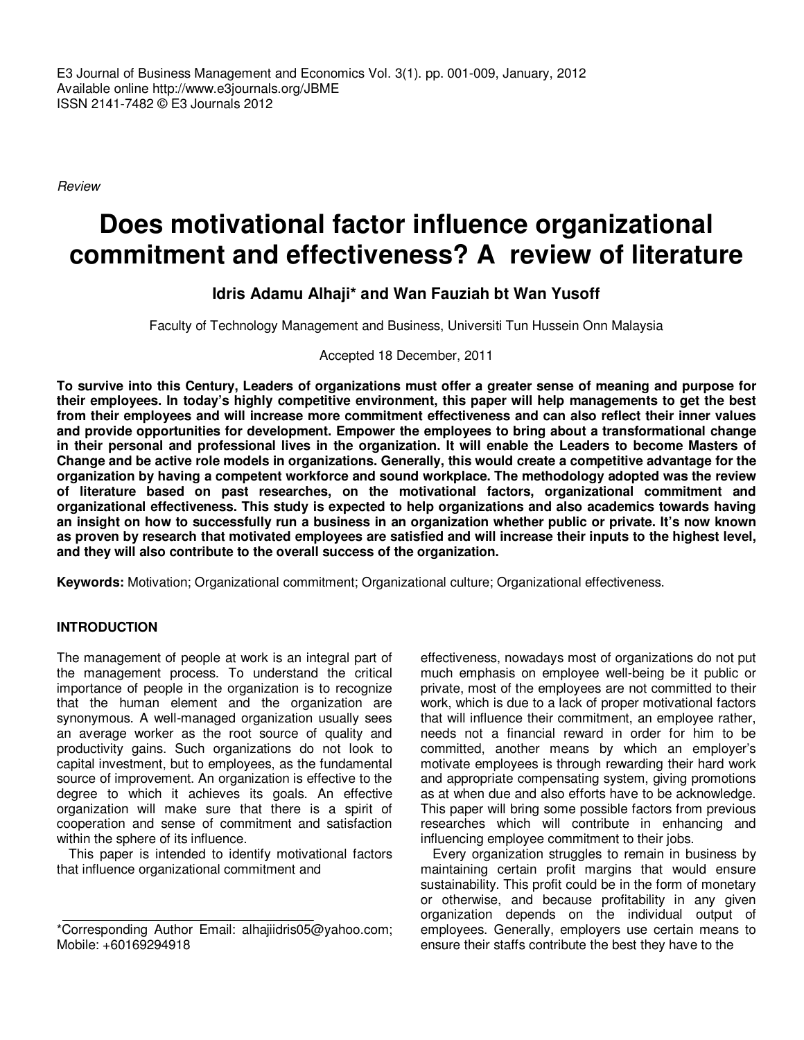E3 Journal of Business Management and Economics Vol. 3(1). pp. 001-009, January, 2012 Available online http://www.e3journals.org/JBME ISSN 2141-7482 © E3 Journals 2012

Review

# **Does motivational factor influence organizational commitment and effectiveness? A review of literature**

# **Idris Adamu Alhaji\* and Wan Fauziah bt Wan Yusoff**

Faculty of Technology Management and Business, Universiti Tun Hussein Onn Malaysia

Accepted 18 December, 2011

**To survive into this Century, Leaders of organizations must offer a greater sense of meaning and purpose for their employees. In today's highly competitive environment, this paper will help managements to get the best from their employees and will increase more commitment effectiveness and can also reflect their inner values and provide opportunities for development. Empower the employees to bring about a transformational change in their personal and professional lives in the organization. It will enable the Leaders to become Masters of Change and be active role models in organizations. Generally, this would create a competitive advantage for the organization by having a competent workforce and sound workplace. The methodology adopted was the review of literature based on past researches, on the motivational factors, organizational commitment and organizational effectiveness. This study is expected to help organizations and also academics towards having an insight on how to successfully run a business in an organization whether public or private. It's now known as proven by research that motivated employees are satisfied and will increase their inputs to the highest level, and they will also contribute to the overall success of the organization.** 

**Keywords:** Motivation; Organizational commitment; Organizational culture; Organizational effectiveness.

#### **INTRODUCTION**

The management of people at work is an integral part of the management process. To understand the critical importance of people in the organization is to recognize that the human element and the organization are synonymous. A well-managed organization usually sees an average worker as the root source of quality and productivity gains. Such organizations do not look to capital investment, but to employees, as the fundamental source of improvement. An organization is effective to the degree to which it achieves its goals. An effective organization will make sure that there is a spirit of cooperation and sense of commitment and satisfaction within the sphere of its influence.

This paper is intended to identify motivational factors that influence organizational commitment and

effectiveness, nowadays most of organizations do not put much emphasis on employee well-being be it public or private, most of the employees are not committed to their work, which is due to a lack of proper motivational factors that will influence their commitment, an employee rather, needs not a financial reward in order for him to be committed, another means by which an employer's motivate employees is through rewarding their hard work and appropriate compensating system, giving promotions as at when due and also efforts have to be acknowledge. This paper will bring some possible factors from previous researches which will contribute in enhancing and influencing employee commitment to their jobs.

Every organization struggles to remain in business by maintaining certain profit margins that would ensure sustainability. This profit could be in the form of monetary or otherwise, and because profitability in any given organization depends on the individual output of employees. Generally, employers use certain means to ensure their staffs contribute the best they have to the

<sup>\*</sup>Corresponding Author Email: alhajiidris05@yahoo.com; Mobile: +60169294918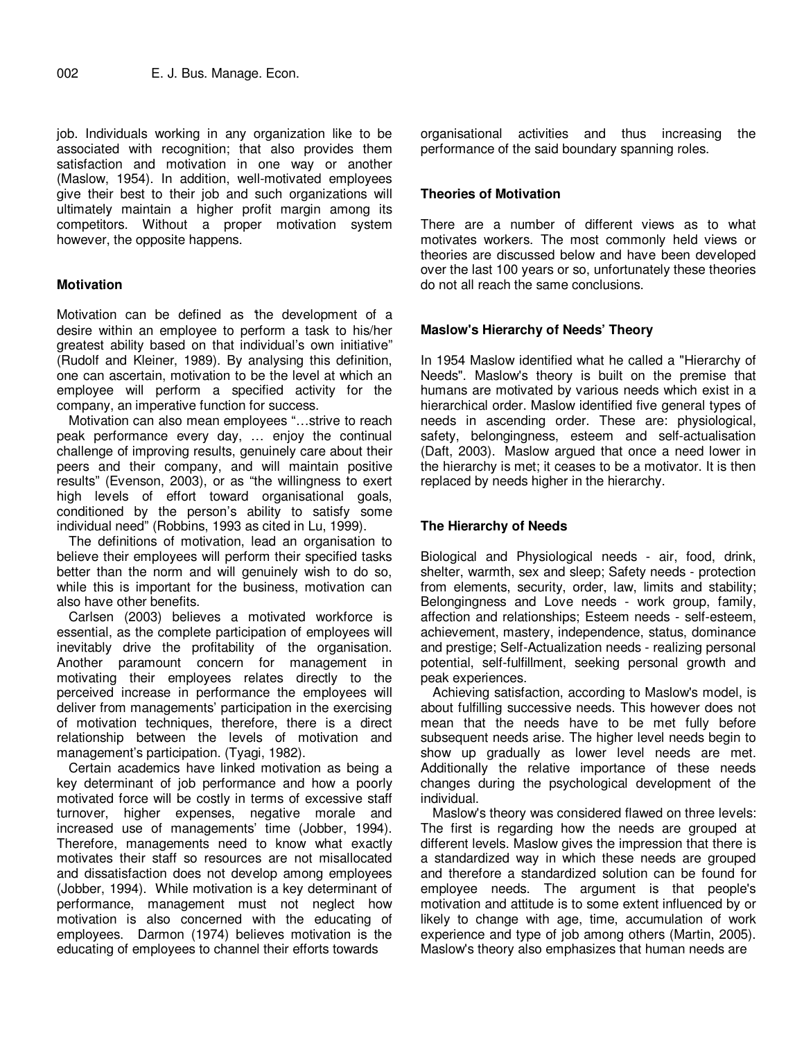job. Individuals working in any organization like to be associated with recognition; that also provides them satisfaction and motivation in one way or another (Maslow, 1954). In addition, well-motivated employees give their best to their job and such organizations will ultimately maintain a higher profit margin among its competitors. Without a proper motivation system however, the opposite happens.

# **Motivation**

Motivation can be defined as 'the development of a desire within an employee to perform a task to his/her greatest ability based on that individual's own initiative" (Rudolf and Kleiner, 1989). By analysing this definition, one can ascertain, motivation to be the level at which an employee will perform a specified activity for the company, an imperative function for success.

Motivation can also mean employees "…strive to reach peak performance every day, … enjoy the continual challenge of improving results, genuinely care about their peers and their company, and will maintain positive results" (Evenson, 2003), or as "the willingness to exert high levels of effort toward organisational goals, conditioned by the person's ability to satisfy some individual need" (Robbins, 1993 as cited in Lu, 1999).

The definitions of motivation, lead an organisation to believe their employees will perform their specified tasks better than the norm and will genuinely wish to do so, while this is important for the business, motivation can also have other benefits.

Carlsen (2003) believes a motivated workforce is essential, as the complete participation of employees will inevitably drive the profitability of the organisation. Another paramount concern for management in motivating their employees relates directly to the perceived increase in performance the employees will deliver from managements' participation in the exercising of motivation techniques, therefore, there is a direct relationship between the levels of motivation and management's participation. (Tyagi, 1982).

Certain academics have linked motivation as being a key determinant of job performance and how a poorly motivated force will be costly in terms of excessive staff turnover, higher expenses, negative morale and increased use of managements' time (Jobber, 1994). Therefore, managements need to know what exactly motivates their staff so resources are not misallocated and dissatisfaction does not develop among employees (Jobber, 1994). While motivation is a key determinant of performance, management must not neglect how motivation is also concerned with the educating of employees. Darmon (1974) believes motivation is the educating of employees to channel their efforts towards

organisational activities and thus increasing the performance of the said boundary spanning roles.

## **Theories of Motivation**

There are a number of different views as to what motivates workers. The most commonly held views or theories are discussed below and have been developed over the last 100 years or so, unfortunately these theories do not all reach the same conclusions.

## **Maslow's Hierarchy of Needs' Theory**

In 1954 Maslow identified what he called a "Hierarchy of Needs". Maslow's theory is built on the premise that humans are motivated by various needs which exist in a hierarchical order. Maslow identified five general types of needs in ascending order. These are: physiological, safety, belongingness, esteem and self-actualisation (Daft, 2003). Maslow argued that once a need lower in the hierarchy is met; it ceases to be a motivator. It is then replaced by needs higher in the hierarchy.

## **The Hierarchy of Needs**

Biological and Physiological needs - air, food, drink, shelter, warmth, sex and sleep; Safety needs - protection from elements, security, order, law, limits and stability; Belongingness and Love needs - work group, family, affection and relationships; Esteem needs - self-esteem, achievement, mastery, independence, status, dominance and prestige; Self-Actualization needs - realizing personal potential, self-fulfillment, seeking personal growth and peak experiences.

Achieving satisfaction, according to Maslow's model, is about fulfilling successive needs. This however does not mean that the needs have to be met fully before subsequent needs arise. The higher level needs begin to show up gradually as lower level needs are met. Additionally the relative importance of these needs changes during the psychological development of the individual.

Maslow's theory was considered flawed on three levels: The first is regarding how the needs are grouped at different levels. Maslow gives the impression that there is a standardized way in which these needs are grouped and therefore a standardized solution can be found for employee needs. The argument is that people's motivation and attitude is to some extent influenced by or likely to change with age, time, accumulation of work experience and type of job among others (Martin, 2005). Maslow's theory also emphasizes that human needs are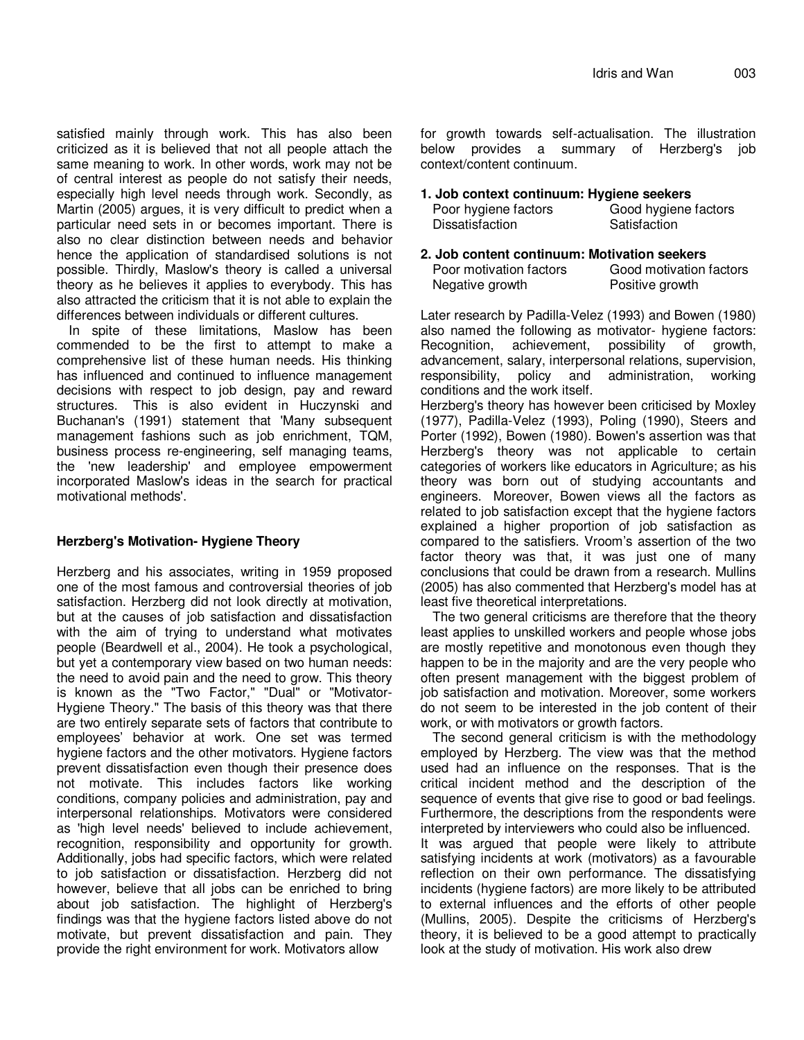satisfied mainly through work. This has also been criticized as it is believed that not all people attach the same meaning to work. In other words, work may not be of central interest as people do not satisfy their needs, especially high level needs through work. Secondly, as Martin (2005) argues, it is very difficult to predict when a particular need sets in or becomes important. There is also no clear distinction between needs and behavior hence the application of standardised solutions is not possible. Thirdly, Maslow's theory is called a universal theory as he believes it applies to everybody. This has also attracted the criticism that it is not able to explain the differences between individuals or different cultures.

In spite of these limitations, Maslow has been commended to be the first to attempt to make a comprehensive list of these human needs. His thinking has influenced and continued to influence management decisions with respect to job design, pay and reward structures. This is also evident in Huczynski and Buchanan's (1991) statement that 'Many subsequent management fashions such as job enrichment, TQM, business process re-engineering, self managing teams, the 'new leadership' and employee empowerment incorporated Maslow's ideas in the search for practical motivational methods'.

# **Herzberg's Motivation- Hygiene Theory**

Herzberg and his associates, writing in 1959 proposed one of the most famous and controversial theories of job satisfaction. Herzberg did not look directly at motivation, but at the causes of job satisfaction and dissatisfaction with the aim of trying to understand what motivates people (Beardwell et al., 2004). He took a psychological, but yet a contemporary view based on two human needs: the need to avoid pain and the need to grow. This theory is known as the "Two Factor," "Dual" or "Motivator-Hygiene Theory." The basis of this theory was that there are two entirely separate sets of factors that contribute to employees' behavior at work. One set was termed hygiene factors and the other motivators. Hygiene factors prevent dissatisfaction even though their presence does not motivate. This includes factors like working conditions, company policies and administration, pay and interpersonal relationships. Motivators were considered as 'high level needs' believed to include achievement, recognition, responsibility and opportunity for growth. Additionally, jobs had specific factors, which were related to job satisfaction or dissatisfaction. Herzberg did not however, believe that all jobs can be enriched to bring about job satisfaction. The highlight of Herzberg's findings was that the hygiene factors listed above do not motivate, but prevent dissatisfaction and pain. They provide the right environment for work. Motivators allow

for growth towards self-actualisation. The illustration below provides a summary of Herzberg's job context/content continuum.

#### **1. Job context continuum: Hygiene seekers**  Poor hy

| Poor hygiene factors | Good hygiene factors |
|----------------------|----------------------|
| Dissatisfaction      | Satisfaction         |

**2. Job content continuum: Motivation seekers**  Poor motivation factors Good motivation factors Negative growth **Positive growth** 

Later research by Padilla-Velez (1993) and Bowen (1980) also named the following as motivator- hygiene factors: Recognition, achievement, possibility of growth, advancement, salary, interpersonal relations, supervision, responsibility, policy and administration, working conditions and the work itself. Herzberg's theory has however been criticised by Moxley (1977), Padilla-Velez (1993), Poling (1990), Steers and Porter (1992), Bowen (1980). Bowen's assertion was that Herzberg's theory was not applicable to certain categories of workers like educators in Agriculture; as his theory was born out of studying accountants and engineers. Moreover, Bowen views all the factors as related to job satisfaction except that the hygiene factors explained a higher proportion of job satisfaction as compared to the satisfiers. Vroom's assertion of the two factor theory was that, it was just one of many conclusions that could be drawn from a research. Mullins (2005) has also commented that Herzberg's model has at

least five theoretical interpretations. The two general criticisms are therefore that the theory least applies to unskilled workers and people whose jobs are mostly repetitive and monotonous even though they happen to be in the majority and are the very people who often present management with the biggest problem of job satisfaction and motivation. Moreover, some workers do not seem to be interested in the job content of their work, or with motivators or growth factors.

The second general criticism is with the methodology employed by Herzberg. The view was that the method used had an influence on the responses. That is the critical incident method and the description of the sequence of events that give rise to good or bad feelings. Furthermore, the descriptions from the respondents were interpreted by interviewers who could also be influenced.

It was argued that people were likely to attribute satisfying incidents at work (motivators) as a favourable reflection on their own performance. The dissatisfying incidents (hygiene factors) are more likely to be attributed to external influences and the efforts of other people (Mullins, 2005). Despite the criticisms of Herzberg's theory, it is believed to be a good attempt to practically look at the study of motivation. His work also drew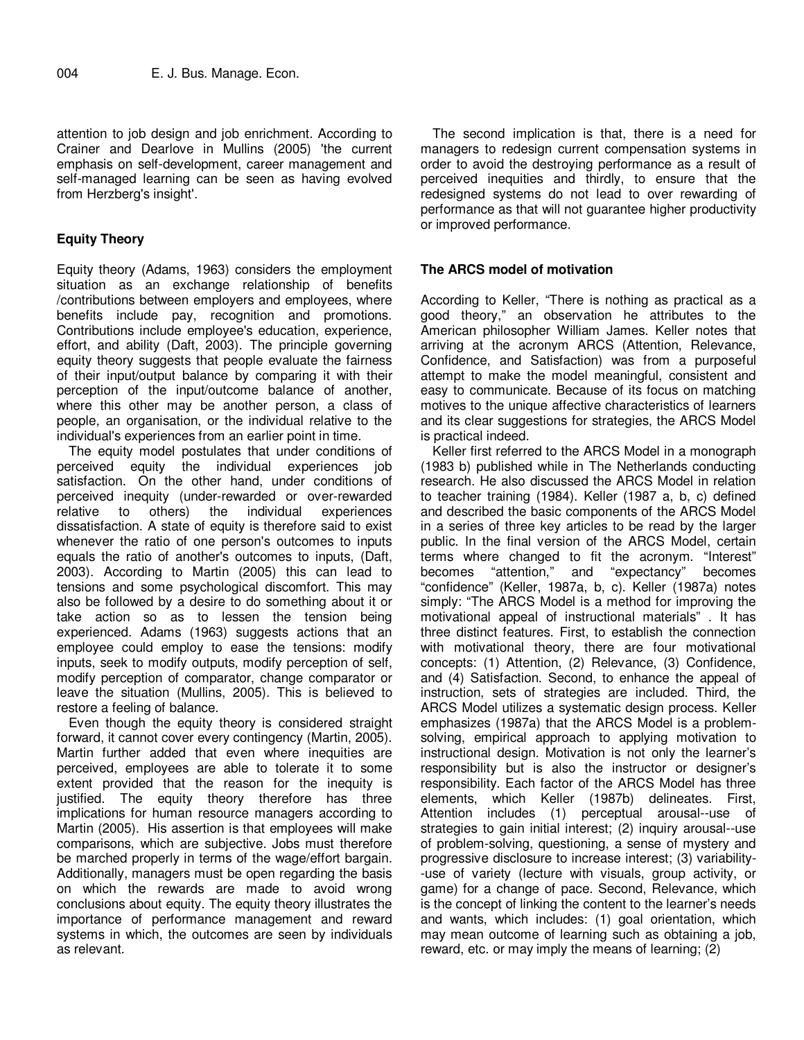attention to job design and job enrichment. According to Crainer and Dearlove in Mullins (2005) 'the current emphasis on self-development, career management and self-managed learning can be seen as having evolved from Herzberg's insight'.

## **Equity Theory**

Equity theory (Adams, 1963) considers the employment situation as an exchange relationship of benefits /contributions between employers and employees, where benefits include pay, recognition and promotions. Contributions include employee's education, experience, effort, and ability (Daft, 2003). The principle governing equity theory suggests that people evaluate the fairness of their input/output balance by comparing it with their perception of the input/outcome balance of another, where this other may be another person, a class of people, an organisation, or the individual relative to the individual's experiences from an earlier point in time.

The equity model postulates that under conditions of perceived equity the individual experiences job satisfaction. On the other hand, under conditions of perceived inequity (under-rewarded or over-rewarded relative to others) the individual experiences dissatisfaction. A state of equity is therefore said to exist whenever the ratio of one person's outcomes to inputs equals the ratio of another's outcomes to inputs, (Daft, 2003). According to Martin (2005) this can lead to tensions and some psychological discomfort. This may also be followed by a desire to do something about it or take action so as to lessen the tension being experienced. Adams (1963) suggests actions that an employee could employ to ease the tensions: modify inputs, seek to modify outputs, modify perception of self, modify perception of comparator, change comparator or leave the situation (Mullins, 2005). This is believed to restore a feeling of balance.

Even though the equity theory is considered straight forward, it cannot cover every contingency (Martin, 2005). Martin further added that even where inequities are perceived, employees are able to tolerate it to some extent provided that the reason for the inequity is justified. The equity theory therefore has three implications for human resource managers according to Martin (2005). His assertion is that employees will make comparisons, which are subjective. Jobs must therefore be marched properly in terms of the wage/effort bargain. Additionally, managers must be open regarding the basis on which the rewards are made to avoid wrong conclusions about equity. The equity theory illustrates the importance of performance management and reward systems in which, the outcomes are seen by individuals as relevant.

The second implication is that, there is a need for managers to redesign current compensation systems in order to avoid the destroying performance as a result of perceived inequities and thirdly, to ensure that the redesigned systems do not lead to over rewarding of performance as that will not guarantee higher productivity or improved performance.

## **The ARCS model of motivation**

According to Keller, "There is nothing as practical as a good theory," an observation he attributes to the American philosopher William James. Keller notes that arriving at the acronym ARCS (Attention, Relevance, Confidence, and Satisfaction) was from a purposeful attempt to make the model meaningful, consistent and easy to communicate. Because of its focus on matching motives to the unique affective characteristics of learners and its clear suggestions for strategies, the ARCS Model is practical indeed.

Keller first referred to the ARCS Model in a monograph (1983 b) published while in The Netherlands conducting research. He also discussed the ARCS Model in relation to teacher training (1984). Keller (1987 a, b, c) defined and described the basic components of the ARCS Model in a series of three key articles to be read by the larger public. In the final version of the ARCS Model, certain terms where changed to fit the acronym. "Interest" becomes "attention," and "expectancy" becomes "confidence" (Keller, 1987a, b, c). Keller (1987a) notes simply: "The ARCS Model is a method for improving the motivational appeal of instructional materials" . It has three distinct features. First, to establish the connection with motivational theory, there are four motivational concepts: (1) Attention, (2) Relevance, (3) Confidence, and (4) Satisfaction. Second, to enhance the appeal of instruction, sets of strategies are included. Third, the ARCS Model utilizes a systematic design process. Keller emphasizes (1987a) that the ARCS Model is a problemsolving, empirical approach to applying motivation to instructional design. Motivation is not only the learner's responsibility but is also the instructor or designer's responsibility. Each factor of the ARCS Model has three elements, which Keller (1987b) delineates. First, Attention includes (1) perceptual arousal--use of strategies to gain initial interest; (2) inquiry arousal--use of problem-solving, questioning, a sense of mystery and progressive disclosure to increase interest; (3) variability- -use of variety (lecture with visuals, group activity, or game) for a change of pace. Second, Relevance, which is the concept of linking the content to the learner's needs and wants, which includes: (1) goal orientation, which may mean outcome of learning such as obtaining a job, reward, etc. or may imply the means of learning; (2)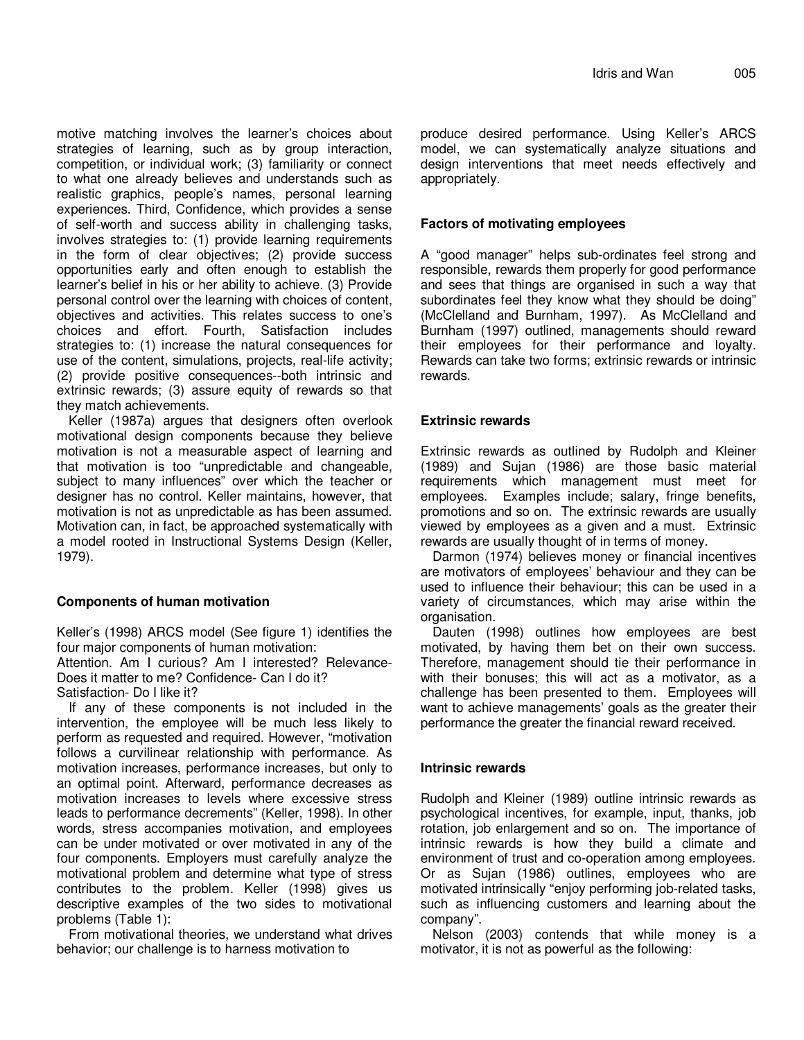motive matching involves the learner's choices about strategies of learning, such as by group interaction, competition, or individual work; (3) familiarity or connect to what one already believes and understands such as realistic graphics, people's names, personal learning experiences. Third, Confidence, which provides a sense of self-worth and success ability in challenging tasks, involves strategies to: (1) provide learning requirements in the form of clear objectives; (2) provide success opportunities early and often enough to establish the learner's belief in his or her ability to achieve. (3) Provide personal control over the learning with choices of content, objectives and activities. This relates success to one's choices and effort. Fourth, Satisfaction includes strategies to: (1) increase the natural consequences for use of the content, simulations, projects, real-life activity; (2) provide positive consequences--both intrinsic and extrinsic rewards; (3) assure equity of rewards so that they match achievements.

Keller (1987a) argues that designers often overlook motivational design components because they believe motivation is not a measurable aspect of learning and that motivation is too "unpredictable and changeable, subject to many influences" over which the teacher or designer has no control. Keller maintains, however, that motivation is not as unpredictable as has been assumed. Motivation can, in fact, be approached systematically with a model rooted in Instructional Systems Design (Keller, 1979).

## **Components of human motivation**

Keller's (1998) ARCS model (See figure 1) identifies the four major components of human motivation:

Attention. Am I curious? Am I interested? Relevance-Does it matter to me? Confidence- Can I do it? Satisfaction- Do I like it?

If any of these components is not included in the intervention, the employee will be much less likely to perform as requested and required. However, "motivation follows a curvilinear relationship with performance. As motivation increases, performance increases, but only to an optimal point. Afterward, performance decreases as motivation increases to levels where excessive stress leads to performance decrements" (Keller, 1998). In other words, stress accompanies motivation, and employees can be under motivated or over motivated in any of the four components. Employers must carefully analyze the motivational problem and determine what type of stress contributes to the problem. Keller (1998) gives us descriptive examples of the two sides to motivational problems (Table 1):

From motivational theories, we understand what drives behavior; our challenge is to harness motivation to

produce desired performance. Using Keller's ARCS model, we can systematically analyze situations and design interventions that meet needs effectively and appropriately.

## **Factors of motivating employees**

A "good manager" helps sub-ordinates feel strong and responsible, rewards them properly for good performance and sees that things are organised in such a way that subordinates feel they know what they should be doing" (McClelland and Burnham, 1997). As McClelland and Burnham (1997) outlined, managements should reward their employees for their performance and loyalty. Rewards can take two forms; extrinsic rewards or intrinsic rewards.

## **Extrinsic rewards**

Extrinsic rewards as outlined by Rudolph and Kleiner (1989) and Sujan (1986) are those basic material requirements which management must meet for employees. Examples include; salary, fringe benefits, promotions and so on. The extrinsic rewards are usually viewed by employees as a given and a must. Extrinsic rewards are usually thought of in terms of money.

Darmon (1974) believes money or financial incentives are motivators of employees' behaviour and they can be used to influence their behaviour; this can be used in a variety of circumstances, which may arise within the organisation.

Dauten (1998) outlines how employees are best motivated, by having them bet on their own success. Therefore, management should tie their performance in with their bonuses; this will act as a motivator, as a challenge has been presented to them. Employees will want to achieve managements' goals as the greater their performance the greater the financial reward received.

# **Intrinsic rewards**

Rudolph and Kleiner (1989) outline intrinsic rewards as psychological incentives, for example, input, thanks, job rotation, job enlargement and so on. The importance of intrinsic rewards is how they build a climate and environment of trust and co-operation among employees. Or as Sujan (1986) outlines, employees who are motivated intrinsically "enjoy performing job-related tasks, such as influencing customers and learning about the company".

Nelson (2003) contends that while money is a motivator, it is not as powerful as the following: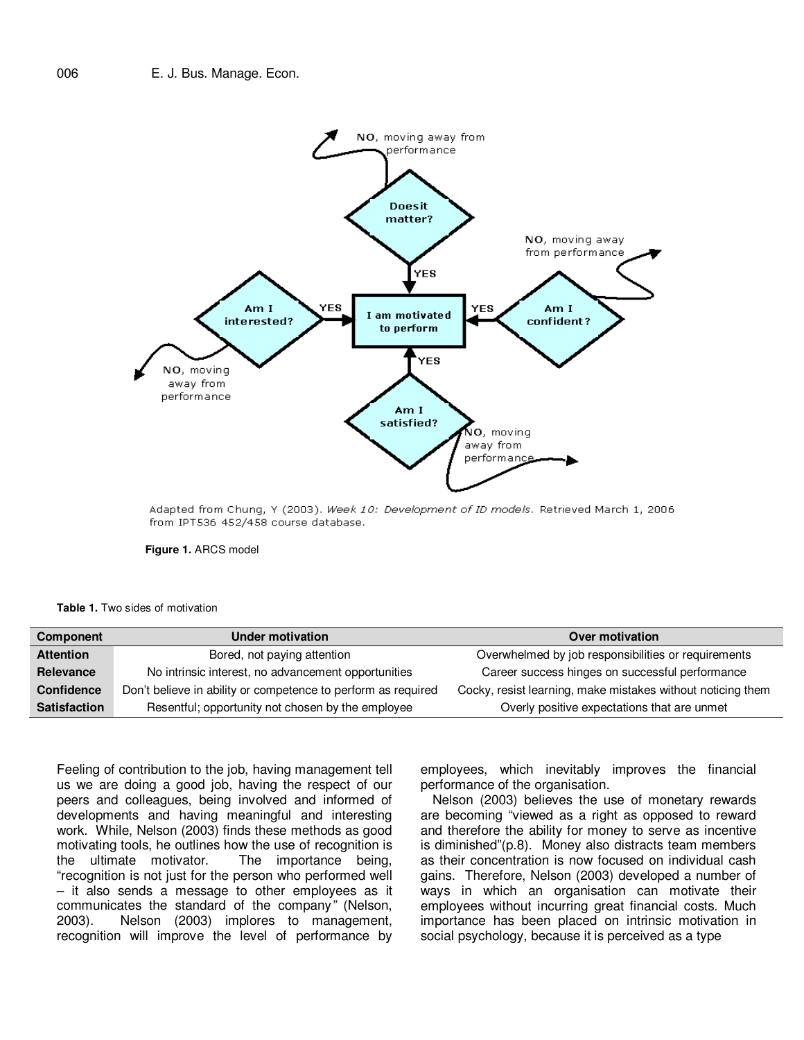

Adapted from Chung, Y (2003). Week 10: Development of ID models. Retrieved March 1, 2006 from IPT536 452/458 course database.



**Table 1.** Two sides of motivation

| <b>Component</b>    | <b>Under motivation</b>                                       | Over motivation                                             |
|---------------------|---------------------------------------------------------------|-------------------------------------------------------------|
| <b>Attention</b>    | Bored, not paying attention                                   | Overwhelmed by job responsibilities or requirements         |
| <b>Relevance</b>    | No intrinsic interest, no advancement opportunities           | Career success hinges on successful performance             |
| Confidence          | Don't believe in ability or competence to perform as required | Cocky, resist learning, make mistakes without noticing them |
| <b>Satisfaction</b> | Resentful; opportunity not chosen by the employee             | Overly positive expectations that are unmet                 |

Feeling of contribution to the job, having management tell us we are doing a good job, having the respect of our peers and colleagues, being involved and informed of developments and having meaningful and interesting work. While, Nelson (2003) finds these methods as good motivating tools, he outlines how the use of recognition is<br>the ultimate motivator. The importance being, The importance being, "recognition is not just for the person who performed well – it also sends a message to other employees as it communicates the standard of the company" (Nelson, 2003). Nelson (2003) implores to management, recognition will improve the level of performance by

employees, which inevitably improves the financial performance of the organisation.

Nelson (2003) believes the use of monetary rewards are becoming "viewed as a right as opposed to reward and therefore the ability for money to serve as incentive is diminished"(p.8). Money also distracts team members as their concentration is now focused on individual cash gains. Therefore, Nelson (2003) developed a number of ways in which an organisation can motivate their employees without incurring great financial costs. Much importance has been placed on intrinsic motivation in social psychology, because it is perceived as a type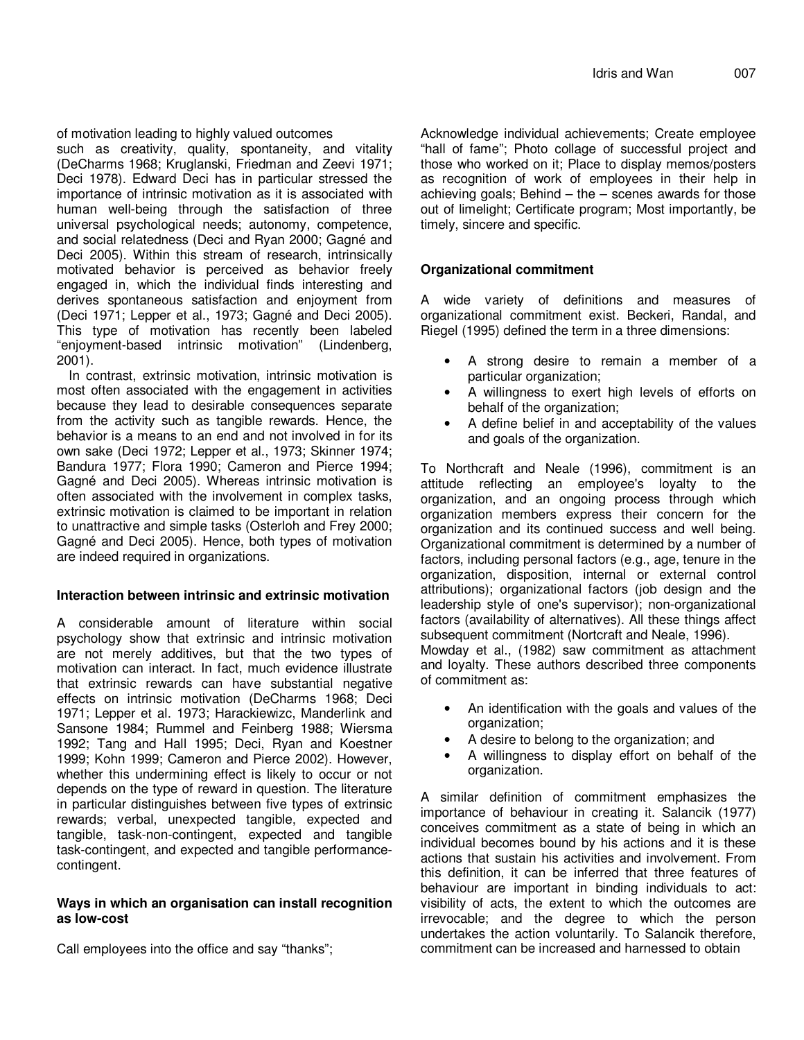of motivation leading to highly valued outcomes

such as creativity, quality, spontaneity, and vitality (DeCharms 1968; Kruglanski, Friedman and Zeevi 1971; Deci 1978). Edward Deci has in particular stressed the importance of intrinsic motivation as it is associated with human well-being through the satisfaction of three universal psychological needs; autonomy, competence, and social relatedness (Deci and Ryan 2000; Gagné and Deci 2005). Within this stream of research, intrinsically motivated behavior is perceived as behavior freely engaged in, which the individual finds interesting and derives spontaneous satisfaction and enjoyment from (Deci 1971; Lepper et al., 1973; Gagné and Deci 2005). This type of motivation has recently been labeled "enjoyment-based intrinsic motivation" (Lindenberg, 2001).

In contrast, extrinsic motivation, intrinsic motivation is most often associated with the engagement in activities because they lead to desirable consequences separate from the activity such as tangible rewards. Hence, the behavior is a means to an end and not involved in for its own sake (Deci 1972; Lepper et al., 1973; Skinner 1974; Bandura 1977; Flora 1990; Cameron and Pierce 1994; Gagné and Deci 2005). Whereas intrinsic motivation is often associated with the involvement in complex tasks, extrinsic motivation is claimed to be important in relation to unattractive and simple tasks (Osterloh and Frey 2000; Gagné and Deci 2005). Hence, both types of motivation are indeed required in organizations.

## **Interaction between intrinsic and extrinsic motivation**

A considerable amount of literature within social psychology show that extrinsic and intrinsic motivation are not merely additives, but that the two types of motivation can interact. In fact, much evidence illustrate that extrinsic rewards can have substantial negative effects on intrinsic motivation (DeCharms 1968; Deci 1971; Lepper et al. 1973; Harackiewizc, Manderlink and Sansone 1984; Rummel and Feinberg 1988; Wiersma 1992; Tang and Hall 1995; Deci, Ryan and Koestner 1999; Kohn 1999; Cameron and Pierce 2002). However, whether this undermining effect is likely to occur or not depends on the type of reward in question. The literature in particular distinguishes between five types of extrinsic rewards; verbal, unexpected tangible, expected and tangible, task-non-contingent, expected and tangible task-contingent, and expected and tangible performancecontingent.

## **Ways in which an organisation can install recognition as low-cost**

Call employees into the office and say "thanks";

Acknowledge individual achievements; Create employee "hall of fame"; Photo collage of successful project and those who worked on it; Place to display memos/posters as recognition of work of employees in their help in achieving goals; Behind  $-$  the  $-$  scenes awards for those out of limelight; Certificate program; Most importantly, be timely, sincere and specific.

# **Organizational commitment**

A wide variety of definitions and measures of organizational commitment exist. Beckeri, Randal, and Riegel (1995) defined the term in a three dimensions:

- A strong desire to remain a member of a particular organization;
- A willingness to exert high levels of efforts on behalf of the organization;
- A define belief in and acceptability of the values and goals of the organization.

To Northcraft and Neale (1996), commitment is an attitude reflecting an employee's loyalty to the organization, and an ongoing process through which organization members express their concern for the organization and its continued success and well being. Organizational commitment is determined by a number of factors, including personal factors (e.g., age, tenure in the organization, disposition, internal or external control attributions); organizational factors (job design and the leadership style of one's supervisor); non-organizational factors (availability of alternatives). All these things affect subsequent commitment (Nortcraft and Neale, 1996). Mowday et al., (1982) saw commitment as attachment

and loyalty. These authors described three components of commitment as:

- An identification with the goals and values of the organization;
- A desire to belong to the organization; and
- A willingness to display effort on behalf of the organization.

A similar definition of commitment emphasizes the importance of behaviour in creating it. Salancik (1977) conceives commitment as a state of being in which an individual becomes bound by his actions and it is these actions that sustain his activities and involvement. From this definition, it can be inferred that three features of behaviour are important in binding individuals to act: visibility of acts, the extent to which the outcomes are irrevocable; and the degree to which the person undertakes the action voluntarily. To Salancik therefore, commitment can be increased and harnessed to obtain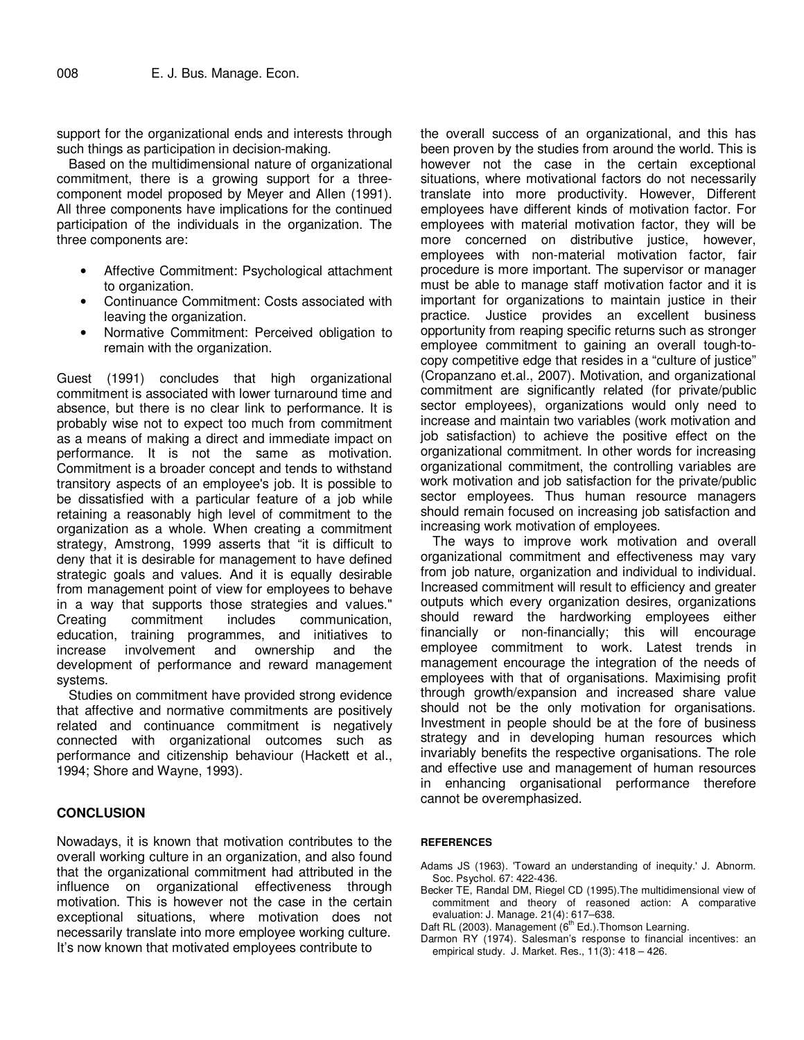support for the organizational ends and interests through such things as participation in decision-making.

Based on the multidimensional nature of organizational commitment, there is a growing support for a threecomponent model proposed by Meyer and Allen (1991). All three components have implications for the continued participation of the individuals in the organization. The three components are:

- Affective Commitment: Psychological attachment to organization.
- Continuance Commitment: Costs associated with leaving the organization.
- Normative Commitment: Perceived obligation to remain with the organization.

Guest (1991) concludes that high organizational commitment is associated with lower turnaround time and absence, but there is no clear link to performance. It is probably wise not to expect too much from commitment as a means of making a direct and immediate impact on performance. It is not the same as motivation. Commitment is a broader concept and tends to withstand transitory aspects of an employee's job. It is possible to be dissatisfied with a particular feature of a job while retaining a reasonably high level of commitment to the organization as a whole. When creating a commitment strategy, Amstrong, 1999 asserts that "it is difficult to deny that it is desirable for management to have defined strategic goals and values. And it is equally desirable from management point of view for employees to behave in a way that supports those strategies and values." Creating commitment includes communication, education, training programmes, and initiatives to increase involvement and ownership and the development of performance and reward management systems.

Studies on commitment have provided strong evidence that affective and normative commitments are positively related and continuance commitment is negatively connected with organizational outcomes such as performance and citizenship behaviour (Hackett et al., 1994; Shore and Wayne, 1993).

## **CONCLUSION**

Nowadays, it is known that motivation contributes to the overall working culture in an organization, and also found that the organizational commitment had attributed in the influence on organizational effectiveness through motivation. This is however not the case in the certain exceptional situations, where motivation does not necessarily translate into more employee working culture. It's now known that motivated employees contribute to

the overall success of an organizational, and this has been proven by the studies from around the world. This is however not the case in the certain exceptional situations, where motivational factors do not necessarily translate into more productivity. However, Different employees have different kinds of motivation factor. For employees with material motivation factor, they will be more concerned on distributive justice, however, employees with non-material motivation factor, fair procedure is more important. The supervisor or manager must be able to manage staff motivation factor and it is important for organizations to maintain justice in their practice. Justice provides an excellent business opportunity from reaping specific returns such as stronger employee commitment to gaining an overall tough-tocopy competitive edge that resides in a "culture of justice" (Cropanzano et.al., 2007). Motivation, and organizational commitment are significantly related (for private/public sector employees), organizations would only need to increase and maintain two variables (work motivation and job satisfaction) to achieve the positive effect on the organizational commitment. In other words for increasing organizational commitment, the controlling variables are work motivation and job satisfaction for the private/public sector employees. Thus human resource managers should remain focused on increasing job satisfaction and increasing work motivation of employees.

The ways to improve work motivation and overall organizational commitment and effectiveness may vary from job nature, organization and individual to individual. Increased commitment will result to efficiency and greater outputs which every organization desires, organizations should reward the hardworking employees either financially or non-financially; this will encourage employee commitment to work. Latest trends in management encourage the integration of the needs of employees with that of organisations. Maximising profit through growth/expansion and increased share value should not be the only motivation for organisations. Investment in people should be at the fore of business strategy and in developing human resources which invariably benefits the respective organisations. The role and effective use and management of human resources in enhancing organisational performance therefore cannot be overemphasized.

#### **REFERENCES**

- Adams JS (1963). 'Toward an understanding of inequity.' J. Abnorm. Soc. Psychol. 67: 422-436.
- Becker TE, Randal DM, Riegel CD (1995).The multidimensional view of commitment and theory of reasoned action: A comparative evaluation: J. Manage. 21(4): 617–638.
- Daft RL (2003). Management (6<sup>th</sup> Ed.). Thomson Learning.
- Darmon RY (1974). Salesman's response to financial incentives: an empirical study. J. Market. Res., 11(3): 418 – 426.